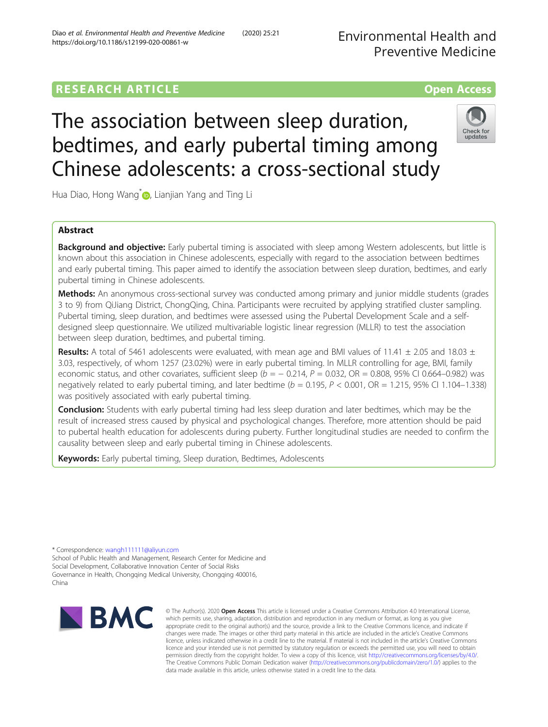Diao et al. Environmental Health and Preventive Medicine (2020) 25:21

# **RESEARCH ARTICLE Example 2014 12:30 The Contract of Contract ACCESS**

# The association between sleep duration, bedtimes, and early pubertal timing among Chinese adolescents: a cross-sectional study



Hua Diao, Hong Wang<sup>[\\*](http://orcid.org/0000-0002-2522-1921)</sup> , Lianjian Yang and Ting Li

# Abstract

**Background and objective:** Early pubertal timing is associated with sleep among Western adolescents, but little is known about this association in Chinese adolescents, especially with regard to the association between bedtimes and early pubertal timing. This paper aimed to identify the association between sleep duration, bedtimes, and early pubertal timing in Chinese adolescents.

Methods: An anonymous cross-sectional survey was conducted among primary and junior middle students (grades 3 to 9) from QiJiang District, ChongQing, China. Participants were recruited by applying stratified cluster sampling. Pubertal timing, sleep duration, and bedtimes were assessed using the Pubertal Development Scale and a selfdesigned sleep questionnaire. We utilized multivariable logistic linear regression (MLLR) to test the association between sleep duration, bedtimes, and pubertal timing.

**Results:** A total of 5461 adolescents were evaluated, with mean age and BMI values of 11.41  $\pm$  2.05 and 18.03  $\pm$ 3.03, respectively, of whom 1257 (23.02%) were in early pubertal timing. In MLLR controlling for age, BMI, family economic status, and other covariates, sufficient sleep ( $b = -0.214$ ,  $P = 0.032$ , OR = 0.808, 95% CI 0.664–0.982) was negatively related to early pubertal timing, and later bedtime  $(b = 0.195, P < 0.001, OR = 1.215, 95\% \text{ CI } 1.104-1.338)$ was positively associated with early pubertal timing.

**Conclusion:** Students with early pubertal timing had less sleep duration and later bedtimes, which may be the result of increased stress caused by physical and psychological changes. Therefore, more attention should be paid to pubertal health education for adolescents during puberty. Further longitudinal studies are needed to confirm the causality between sleep and early pubertal timing in Chinese adolescents.

Keywords: Early pubertal timing, Sleep duration, Bedtimes, Adolescents

\* Correspondence: [wangh111111@aliyun.com](mailto:wangh111111@aliyun.com)

School of Public Health and Management, Research Center for Medicine and Social Development, Collaborative Innovation Center of Social Risks Governance in Health, Chongqing Medical University, Chongqing 400016, China



© The Author(s), 2020 **Open Access** This article is licensed under a Creative Commons Attribution 4.0 International License, which permits use, sharing, adaptation, distribution and reproduction in any medium or format, as long as you give appropriate credit to the original author(s) and the source, provide a link to the Creative Commons licence, and indicate if changes were made. The images or other third party material in this article are included in the article's Creative Commons licence, unless indicated otherwise in a credit line to the material. If material is not included in the article's Creative Commons licence and your intended use is not permitted by statutory regulation or exceeds the permitted use, you will need to obtain permission directly from the copyright holder. To view a copy of this licence, visit [http://creativecommons.org/licenses/by/4.0/.](http://creativecommons.org/licenses/by/4.0/) The Creative Commons Public Domain Dedication waiver [\(http://creativecommons.org/publicdomain/zero/1.0/](http://creativecommons.org/publicdomain/zero/1.0/)) applies to the data made available in this article, unless otherwise stated in a credit line to the data.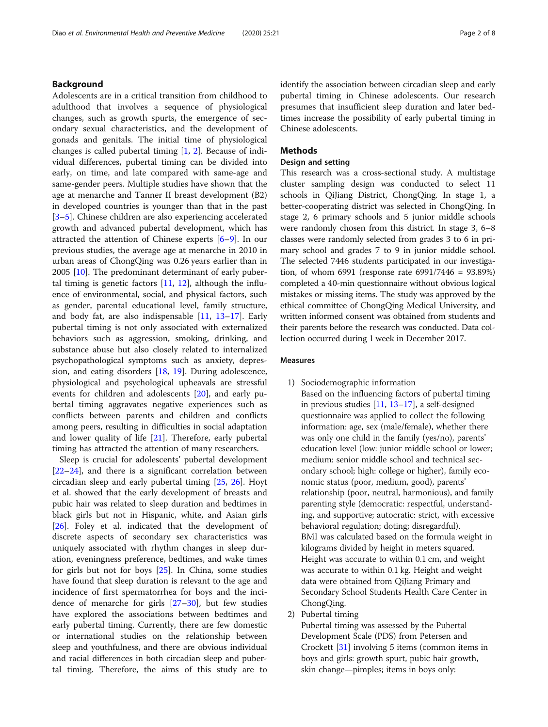# Background

Adolescents are in a critical transition from childhood to adulthood that involves a sequence of physiological changes, such as growth spurts, the emergence of secondary sexual characteristics, and the development of gonads and genitals. The initial time of physiological changes is called pubertal timing [[1,](#page-6-0) [2](#page-6-0)]. Because of individual differences, pubertal timing can be divided into early, on time, and late compared with same-age and same-gender peers. Multiple studies have shown that the age at menarche and Tanner II breast development (B2) in developed countries is younger than that in the past [[3](#page-6-0)–[5\]](#page-6-0). Chinese children are also experiencing accelerated growth and advanced pubertal development, which has attracted the attention of Chinese experts [[6](#page-6-0)–[9\]](#page-6-0). In our previous studies, the average age at menarche in 2010 in urban areas of ChongQing was 0.26 years earlier than in 2005 [[10](#page-6-0)]. The predominant determinant of early pubertal timing is genetic factors [[11,](#page-6-0) [12](#page-6-0)], although the influence of environmental, social, and physical factors, such as gender, parental educational level, family structure, and body fat, are also indispensable [[11,](#page-6-0) [13](#page-6-0)–[17](#page-6-0)]. Early pubertal timing is not only associated with externalized behaviors such as aggression, smoking, drinking, and substance abuse but also closely related to internalized psychopathological symptoms such as anxiety, depression, and eating disorders [[18,](#page-6-0) [19\]](#page-6-0). During adolescence, physiological and psychological upheavals are stressful events for children and adolescents [[20\]](#page-6-0), and early pubertal timing aggravates negative experiences such as conflicts between parents and children and conflicts among peers, resulting in difficulties in social adaptation and lower quality of life [[21\]](#page-6-0). Therefore, early pubertal timing has attracted the attention of many researchers.

Sleep is crucial for adolescents' pubertal development [[22](#page-6-0)–[24](#page-6-0)], and there is a significant correlation between circadian sleep and early pubertal timing [\[25](#page-6-0), [26](#page-6-0)]. Hoyt et al. showed that the early development of breasts and pubic hair was related to sleep duration and bedtimes in black girls but not in Hispanic, white, and Asian girls [[26\]](#page-6-0). Foley et al. indicated that the development of discrete aspects of secondary sex characteristics was uniquely associated with rhythm changes in sleep duration, eveningness preference, bedtimes, and wake times for girls but not for boys [[25\]](#page-6-0). In China, some studies have found that sleep duration is relevant to the age and incidence of first spermatorrhea for boys and the incidence of menarche for girls  $[27-30]$  $[27-30]$  $[27-30]$  $[27-30]$  $[27-30]$ , but few studies have explored the associations between bedtimes and early pubertal timing. Currently, there are few domestic or international studies on the relationship between sleep and youthfulness, and there are obvious individual and racial differences in both circadian sleep and pubertal timing. Therefore, the aims of this study are to identify the association between circadian sleep and early pubertal timing in Chinese adolescents. Our research presumes that insufficient sleep duration and later bedtimes increase the possibility of early pubertal timing in Chinese adolescents.

# **Methods**

# Design and setting

This research was a cross-sectional study. A multistage cluster sampling design was conducted to select 11 schools in QiJiang District, ChongQing. In stage 1, a better-cooperating district was selected in ChongQing. In stage 2, 6 primary schools and 5 junior middle schools were randomly chosen from this district. In stage 3, 6–8 classes were randomly selected from grades 3 to 6 in primary school and grades 7 to 9 in junior middle school. The selected 7446 students participated in our investigation, of whom 6991 (response rate 6991/7446 = 93.89%) completed a 40-min questionnaire without obvious logical mistakes or missing items. The study was approved by the ethical committee of ChongQing Medical University, and written informed consent was obtained from students and their parents before the research was conducted. Data collection occurred during 1 week in December 2017.

# Measures

- 1) Sociodemographic information
- Based on the influencing factors of pubertal timing in previous studies [[11](#page-6-0), [13](#page-6-0)–[17](#page-6-0)], a self-designed questionnaire was applied to collect the following information: age, sex (male/female), whether there was only one child in the family (yes/no), parents' education level (low: junior middle school or lower; medium: senior middle school and technical secondary school; high: college or higher), family economic status (poor, medium, good), parents' relationship (poor, neutral, harmonious), and family parenting style (democratic: respectful, understanding, and supportive; autocratic: strict, with excessive behavioral regulation; doting; disregardful). BMI was calculated based on the formula weight in kilograms divided by height in meters squared. Height was accurate to within 0.1 cm, and weight was accurate to within 0.1 kg. Height and weight data were obtained from QiJiang Primary and Secondary School Students Health Care Center in ChongQing.
- 2) Pubertal timing

Pubertal timing was assessed by the Pubertal Development Scale (PDS) from Petersen and Crockett [[31](#page-6-0)] involving 5 items (common items in boys and girls: growth spurt, pubic hair growth, skin change—pimples; items in boys only: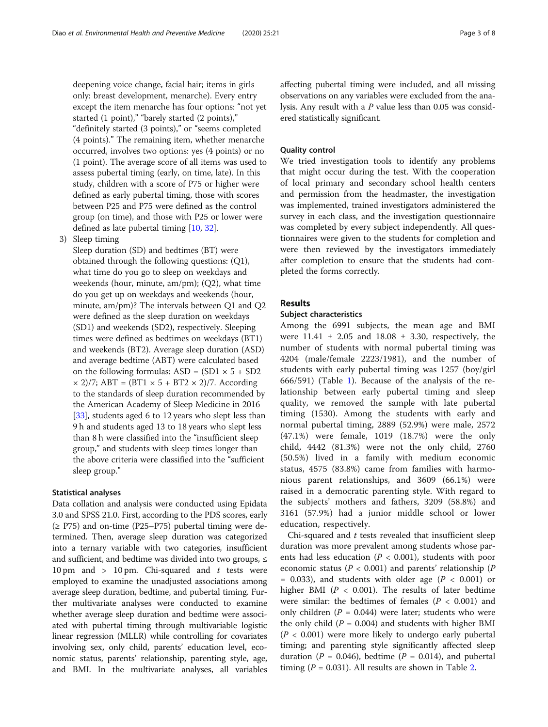deepening voice change, facial hair; items in girls only: breast development, menarche). Every entry except the item menarche has four options: "not yet started (1 point)," "barely started (2 points)," "definitely started (3 points)," or "seems completed (4 points)." The remaining item, whether menarche occurred, involves two options: yes (4 points) or no (1 point). The average score of all items was used to assess pubertal timing (early, on time, late). In this study, children with a score of P75 or higher were defined as early pubertal timing, those with scores between P25 and P75 were defined as the control group (on time), and those with P25 or lower were defined as late pubertal timing [[10,](#page-6-0) [32](#page-7-0)].

3) Sleep timing

Sleep duration (SD) and bedtimes (BT) were obtained through the following questions: (Q1), what time do you go to sleep on weekdays and weekends (hour, minute, am/pm); (Q2), what time do you get up on weekdays and weekends (hour, minute, am/pm)? The intervals between Q1 and Q2 were defined as the sleep duration on weekdays (SD1) and weekends (SD2), respectively. Sleeping times were defined as bedtimes on weekdays (BT1) and weekends (BT2). Average sleep duration (ASD) and average bedtime (ABT) were calculated based on the following formulas:  $ASD = (SD1 \times 5 + SD2)$  $\times$  2)/7; ABT = (BT1  $\times$  5 + BT2  $\times$  2)/7. According to the standards of sleep duration recommended by the American Academy of Sleep Medicine in 2016 [\[33](#page-7-0)], students aged 6 to 12 years who slept less than 9 h and students aged 13 to 18 years who slept less than 8 h were classified into the "insufficient sleep group," and students with sleep times longer than the above criteria were classified into the "sufficient sleep group."

# Statistical analyses

Data collation and analysis were conducted using Epidata 3.0 and SPSS 21.0. First, according to the PDS scores, early  $(≥$  P75) and on-time (P25–P75) pubertal timing were determined. Then, average sleep duration was categorized into a ternary variable with two categories, insufficient and sufficient, and bedtime was divided into two groups,  $\leq$ 10 pm and > 10 pm. Chi-squared and  $t$  tests were employed to examine the unadjusted associations among average sleep duration, bedtime, and pubertal timing. Further multivariate analyses were conducted to examine whether average sleep duration and bedtime were associated with pubertal timing through multivariable logistic linear regression (MLLR) while controlling for covariates involving sex, only child, parents' education level, economic status, parents' relationship, parenting style, age, and BMI. In the multivariate analyses, all variables affecting pubertal timing were included, and all missing observations on any variables were excluded from the analysis. Any result with a P value less than 0.05 was considered statistically significant.

# Quality control

We tried investigation tools to identify any problems that might occur during the test. With the cooperation of local primary and secondary school health centers and permission from the headmaster, the investigation was implemented, trained investigators administered the survey in each class, and the investigation questionnaire was completed by every subject independently. All questionnaires were given to the students for completion and were then reviewed by the investigators immediately after completion to ensure that the students had completed the forms correctly.

# Results

## Subject characteristics

Among the 6991 subjects, the mean age and BMI were  $11.41 \pm 2.05$  and  $18.08 \pm 3.30$ , respectively, the number of students with normal pubertal timing was 4204 (male/female 2223/1981), and the number of students with early pubertal timing was 1257 (boy/girl 666/591) (Table [1](#page-3-0)). Because of the analysis of the relationship between early pubertal timing and sleep quality, we removed the sample with late pubertal timing (1530). Among the students with early and normal pubertal timing, 2889 (52.9%) were male, 2572 (47.1%) were female, 1019 (18.7%) were the only child, 4442 (81.3%) were not the only child, 2760 (50.5%) lived in a family with medium economic status, 4575 (83.8%) came from families with harmonious parent relationships, and 3609 (66.1%) were raised in a democratic parenting style. With regard to the subjects' mothers and fathers, 3209 (58.8%) and 3161 (57.9%) had a junior middle school or lower education, respectively.

Chi-squared and  $t$  tests revealed that insufficient sleep duration was more prevalent among students whose parents had less education ( $P < 0.001$ ), students with poor economic status ( $P < 0.001$ ) and parents' relationship ( $P$ = 0.033), and students with older age ( $P < 0.001$ ) or higher BMI ( $P < 0.001$ ). The results of later bedtime were similar: the bedtimes of females ( $P < 0.001$ ) and only children ( $P = 0.044$ ) were later; students who were the only child ( $P = 0.004$ ) and students with higher BMI  $(P < 0.001)$  were more likely to undergo early pubertal timing; and parenting style significantly affected sleep duration ( $P = 0.046$ ), bedtime ( $P = 0.014$ ), and pubertal timing ( $P = 0.031$ ). All results are shown in Table [2.](#page-3-0)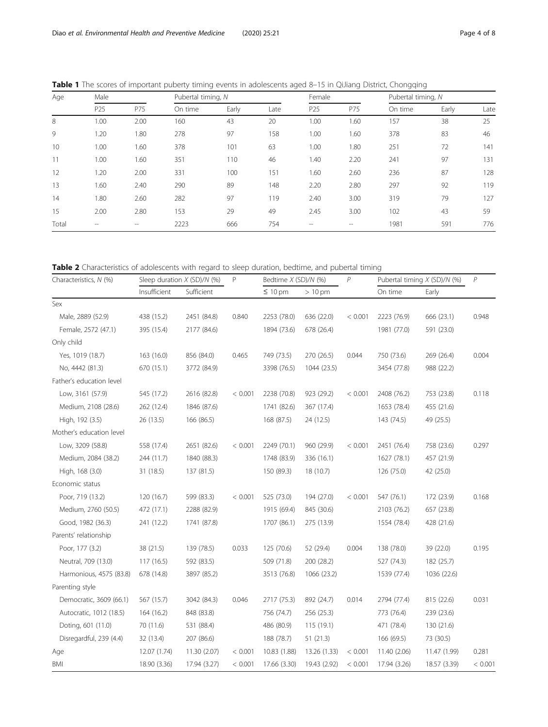| Age   | Male            |                   | Pubertal timing, N |       |      | Female          |       | Pubertal timing, N |       |      |
|-------|-----------------|-------------------|--------------------|-------|------|-----------------|-------|--------------------|-------|------|
|       | P <sub>25</sub> | P75               | On time            | Early | Late | P <sub>25</sub> | P75   | On time            | Early | Late |
| 8     | 1.00            | 2.00              | 160                | 43    | 20   | 1.00            | 1.60  | 157                | 38    | 25   |
| 9     | 1.20            | 1.80              | 278                | 97    | 158  | 1.00            | 1.60  | 378                | 83    | 46   |
| 10    | 1.00            | 1.60              | 378                | 101   | 63   | 1.00            | 1.80  | 251                | 72    | 141  |
| 11    | 1.00            | 1.60              | 351                | 110   | 46   | 1.40            | 2.20  | 241                | 97    | 131  |
| 12    | 1.20            | 2.00              | 331                | 100   | 151  | 1.60            | 2.60  | 236                | 87    | 128  |
| 13    | 1.60            | 2.40              | 290                | 89    | 148  | 2.20            | 2.80  | 297                | 92    | 119  |
| 14    | 1.80            | 2.60              | 282                | 97    | 119  | 2.40            | 3.00  | 319                | 79    | 127  |
| 15    | 2.00            | 2.80              | 153                | 29    | 49   | 2.45            | 3.00  | 102                | 43    | 59   |
| Total | --              | $\qquad \qquad -$ | 2223               | 666   | 754  | $- -$           | $- -$ | 1981               | 591   | 776  |

<span id="page-3-0"></span>Table 1 The scores of important puberty timing events in adolescents aged 8-15 in QiJiang District, Chongqing

Table 2 Characteristics of adolescents with regard to sleep duration, bedtime, and pubertal timing

| Characteristics, N (%)   | Sleep duration $X$ (SD)/N (%) |              | P       | Bedtime X (SD)/N (%) |              | $\mathcal P$ | Pubertal timing X (SD)/N (%) |              | $\overline{P}$ |
|--------------------------|-------------------------------|--------------|---------|----------------------|--------------|--------------|------------------------------|--------------|----------------|
|                          | Insufficient                  | Sufficient   |         | $\leq 10$ pm         | $>10$ pm     |              | On time                      | Early        |                |
| Sex                      |                               |              |         |                      |              |              |                              |              |                |
| Male, 2889 (52.9)        | 438 (15.2)                    | 2451 (84.8)  | 0.840   | 2253 (78.0)          | 636 (22.0)   | < 0.001      | 2223 (76.9)                  | 666 (23.1)   | 0.948          |
| Female, 2572 (47.1)      | 395 (15.4)                    | 2177 (84.6)  |         | 1894 (73.6)          | 678 (26.4)   |              | 1981 (77.0)                  | 591 (23.0)   |                |
| Only child               |                               |              |         |                      |              |              |                              |              |                |
| Yes, 1019 (18.7)         | 163 (16.0)                    | 856 (84.0)   | 0.465   | 749 (73.5)           | 270 (26.5)   | 0.044        | 750 (73.6)                   | 269 (26.4)   | 0.004          |
| No, 4442 (81.3)          | 670 (15.1)                    | 3772 (84.9)  |         | 3398 (76.5)          | 1044 (23.5)  |              | 3454 (77.8)                  | 988 (22.2)   |                |
| Father's education level |                               |              |         |                      |              |              |                              |              |                |
| Low, 3161 (57.9)         | 545 (17.2)                    | 2616 (82.8)  | < 0.001 | 2238 (70.8)          | 923 (29.2)   | < 0.001      | 2408 (76.2)                  | 753 (23.8)   | 0.118          |
| Medium, 2108 (28.6)      | 262 (12.4)                    | 1846 (87.6)  |         | 1741 (82.6)          | 367 (17.4)   |              | 1653 (78.4)                  | 455 (21.6)   |                |
| High, 192 (3.5)          | 26 (13.5)                     | 166 (86.5)   |         | 168 (87.5)           | 24 (12.5)    |              | 143 (74.5)                   | 49 (25.5)    |                |
| Mother's education level |                               |              |         |                      |              |              |                              |              |                |
| Low, 3209 (58.8)         | 558 (17.4)                    | 2651 (82.6)  | < 0.001 | 2249 (70.1)          | 960 (29.9)   | < 0.001      | 2451 (76.4)                  | 758 (23.6)   | 0.297          |
| Medium, 2084 (38.2)      | 244 (11.7)                    | 1840 (88.3)  |         | 1748 (83.9)          | 336 (16.1)   |              | 1627 (78.1)                  | 457 (21.9)   |                |
| High, 168 (3.0)          | 31 (18.5)                     | 137 (81.5)   |         | 150 (89.3)           | 18 (10.7)    |              | 126 (75.0)                   | 42 (25.0)    |                |
| Economic status          |                               |              |         |                      |              |              |                              |              |                |
| Poor, 719 (13.2)         | 120 (16.7)                    | 599 (83.3)   | < 0.001 | 525 (73.0)           | 194 (27.0)   | < 0.001      | 547 (76.1)                   | 172 (23.9)   | 0.168          |
| Medium, 2760 (50.5)      | 472 (17.1)                    | 2288 (82.9)  |         | 1915 (69.4)          | 845 (30.6)   |              | 2103 (76.2)                  | 657 (23.8)   |                |
| Good, 1982 (36.3)        | 241 (12.2)                    | 1741 (87.8)  |         | 1707 (86.1)          | 275 (13.9)   |              | 1554 (78.4)                  | 428 (21.6)   |                |
| Parents' relationship    |                               |              |         |                      |              |              |                              |              |                |
| Poor, 177 (3.2)          | 38 (21.5)                     | 139 (78.5)   | 0.033   | 125 (70.6)           | 52 (29.4)    | 0.004        | 138 (78.0)                   | 39 (22.0)    | 0.195          |
| Neutral, 709 (13.0)      | 117(16.5)                     | 592 (83.5)   |         | 509 (71.8)           | 200 (28.2)   |              | 527 (74.3)                   | 182 (25.7)   |                |
| Harmonious, 4575 (83.8)  | 678 (14.8)                    | 3897 (85.2)  |         | 3513 (76.8)          | 1066 (23.2)  |              | 1539 (77.4)                  | 1036 (22.6)  |                |
| Parenting style          |                               |              |         |                      |              |              |                              |              |                |
| Democratic, 3609 (66.1)  | 567 (15.7)                    | 3042 (84.3)  | 0.046   | 2717 (75.3)          | 892 (24.7)   | 0.014        | 2794 (77.4)                  | 815 (22.6)   | 0.031          |
| Autocratic, 1012 (18.5)  | 164 (16.2)                    | 848 (83.8)   |         | 756 (74.7)           | 256 (25.3)   |              | 773 (76.4)                   | 239 (23.6)   |                |
| Doting, 601 (11.0)       | 70 (11.6)                     | 531 (88.4)   |         | 486 (80.9)           | 115 (19.1)   |              | 471 (78.4)                   | 130 (21.6)   |                |
| Disregardful, 239 (4.4)  | 32 (13.4)                     | 207 (86.6)   |         | 188 (78.7)           | 51(21.3)     |              | 166 (69.5)                   | 73 (30.5)    |                |
| Age                      | 12.07 (1.74)                  | 11.30 (2.07) | < 0.001 | 10.83 (1.88)         | 13.26 (1.33) | < 0.001      | 11.40 (2.06)                 | 11.47 (1.99) | 0.281          |
| BMI                      | 18.90 (3.36)                  | 17.94 (3.27) | < 0.001 | 17.66 (3.30)         | 19.43 (2.92) | < 0.001      | 17.94 (3.26)                 | 18.57 (3.39) | < 0.001        |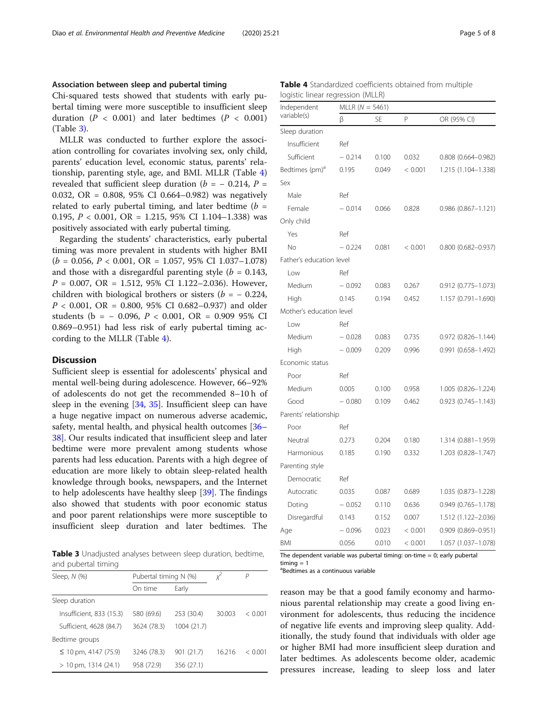## Association between sleep and pubertal timing

Chi-squared tests showed that students with early pubertal timing were more susceptible to insufficient sleep duration ( $P < 0.001$ ) and later bedtimes ( $P < 0.001$ ) (Table 3).

MLLR was conducted to further explore the association controlling for covariates involving sex, only child, parents' education level, economic status, parents' relationship, parenting style, age, and BMI. MLLR (Table 4) revealed that sufficient sleep duration ( $b = -0.214$ ,  $P =$ 0.032, OR = 0.808, 95% CI 0.664–0.982) was negatively related to early pubertal timing, and later bedtime ( $b =$ 0.195,  $P < 0.001$ , OR = 1.215, 95% CI 1.104-1.338) was positively associated with early pubertal timing.

Regarding the students' characteristics, early pubertal timing was more prevalent in students with higher BMI  $(b = 0.056, P < 0.001, OR = 1.057, 95\% \text{ CI } 1.037 - 1.078)$ and those with a disregardful parenting style ( $b = 0.143$ ,  $P = 0.007$ , OR = 1.512, 95% CI 1.122–2.036). However, children with biological brothers or sisters ( $b = -0.224$ ,  $P < 0.001$ , OR = 0.800, 95% CI 0.682-0.937) and older students (b = - 0.096,  $P < 0.001$ , OR = 0.909 95% CI 0.869–0.951) had less risk of early pubertal timing according to the MLLR (Table 4).

# **Discussion**

Sufficient sleep is essential for adolescents' physical and mental well-being during adolescence. However, 66–92% of adolescents do not get the recommended 8–10 h of sleep in the evening [[34](#page-7-0), [35\]](#page-7-0). Insufficient sleep can have a huge negative impact on numerous adverse academic, safety, mental health, and physical health outcomes [[36](#page-7-0)– [38\]](#page-7-0). Our results indicated that insufficient sleep and later bedtime were more prevalent among students whose parents had less education. Parents with a high degree of education are more likely to obtain sleep-related health knowledge through books, newspapers, and the Internet to help adolescents have healthy sleep [\[39](#page-7-0)]. The findings also showed that students with poor economic status and poor parent relationships were more susceptible to insufficient sleep duration and later bedtimes. The

**Table 3** Unadjusted analyses between sleep duration, bedtime, and pubertal timing

| Sleep, $N$ $(\%)$         | Pubertal timing N (%) |             |        | P       |
|---------------------------|-----------------------|-------------|--------|---------|
|                           | On time<br>Early      |             |        |         |
| Sleep duration            |                       |             |        |         |
| Insufficient, 833 (15.3)  | 580 (69.6)            | 253 (30.4)  | 30.003 | < 0.001 |
| Sufficient, 4628 (84.7)   | 3624 (78.3)           | 1004 (21.7) |        |         |
| Bedtime groups            |                       |             |        |         |
| $\leq$ 10 pm, 4147 (75.9) | 3246 (78.3)           | 901 (21.7)  | 16.216 | < 0.001 |
| $>10$ pm, 1314 (24.1)     | 958 (72.9)            | 356 (27.1)  |        |         |

Table 4 Standardized coefficients obtained from multiple logistic linear regression (MLLR)

| Independent                |          | MLLR $(N = 5461)$ |         |                           |  |  |  |  |
|----------------------------|----------|-------------------|---------|---------------------------|--|--|--|--|
| variable(s)                | β        | <b>SE</b>         | P       | OR (95% CI)               |  |  |  |  |
| Sleep duration             |          |                   |         |                           |  |  |  |  |
| Insufficient               | Ref      |                   |         |                           |  |  |  |  |
| Sufficient                 | $-0.214$ | 0.100             | 0.032   | $0.808$ $(0.664 - 0.982)$ |  |  |  |  |
| Bedtimes (pm) <sup>a</sup> | 0.195    | 0.049             | < 0.001 | 1.215 (1.104-1.338)       |  |  |  |  |
| Sex                        |          |                   |         |                           |  |  |  |  |
| Male                       | Ref      |                   |         |                           |  |  |  |  |
| Female                     | $-0.014$ | 0.066             | 0.828   | 0.986 (0.867-1.121)       |  |  |  |  |
| Only child                 |          |                   |         |                           |  |  |  |  |
| Yes                        | Ref      |                   |         |                           |  |  |  |  |
| No                         | $-0.224$ | 0.081             | < 0.001 | $0.800$ $(0.682 - 0.937)$ |  |  |  |  |
| Father's education level   |          |                   |         |                           |  |  |  |  |
| Low                        | Ref      |                   |         |                           |  |  |  |  |
| Medium                     | $-0.092$ | 0.083             | 0.267   | 0.912 (0.775-1.073)       |  |  |  |  |
| High                       | 0.145    | 0.194             | 0.452   | 1.157 (0.791-1.690)       |  |  |  |  |
| Mother's education level   |          |                   |         |                           |  |  |  |  |
| Low                        | Ref      |                   |         |                           |  |  |  |  |
| Medium                     | $-0.028$ | 0.083             | 0.735   | 0.972 (0.826-1.144)       |  |  |  |  |
| High                       | $-0.009$ | 0.209             | 0.996   | $0.991$ $(0.658 - 1.492)$ |  |  |  |  |
| Economic status            |          |                   |         |                           |  |  |  |  |
| Poor                       | Ref      |                   |         |                           |  |  |  |  |
| Medium                     | 0.005    | 0.100             | 0.958   | 1.005 (0.826-1.224)       |  |  |  |  |
| Good                       | $-0.080$ | 0.109             | 0.462   | $0.923$ $(0.745 - 1.143)$ |  |  |  |  |
| Parents' relationship      |          |                   |         |                           |  |  |  |  |
| Poor                       | Ref      |                   |         |                           |  |  |  |  |
| Neutral                    | 0.273    | 0.204             | 0.180   | 1.314 (0.881-1.959)       |  |  |  |  |
| Harmonious                 | 0.185    | 0.190             | 0.332   | 1.203 (0.828-1.747)       |  |  |  |  |
| Parenting style            |          |                   |         |                           |  |  |  |  |
| Democratic                 | Ref      |                   |         |                           |  |  |  |  |
| Autocratic                 | 0.035    | 0.087             | 0.689   | 1.035 (0.873-1.228)       |  |  |  |  |
| Doting                     | $-0.052$ | 0.110             | 0.636   | $0.949$ $(0.765 - 1.178)$ |  |  |  |  |
| Disregardful               | 0.143    | 0.152             | 0.007   | 1.512 (1.122-2.036)       |  |  |  |  |
| Age                        | $-0.096$ | 0.023             | < 0.001 | $0.909$ $(0.869 - 0.951)$ |  |  |  |  |
| BMI                        | 0.056    | 0.010             | < 0.001 | 1.057 (1.037-1.078)       |  |  |  |  |

The dependent variable was pubertal timing: on-time  $= 0$ ; early pubertal  $t$ iming  $= 1$ 

a Bedtimes as a continuous variable

reason may be that a good family economy and harmonious parental relationship may create a good living environment for adolescents, thus reducing the incidence of negative life events and improving sleep quality. Additionally, the study found that individuals with older age or higher BMI had more insufficient sleep duration and later bedtimes. As adolescents become older, academic pressures increase, leading to sleep loss and later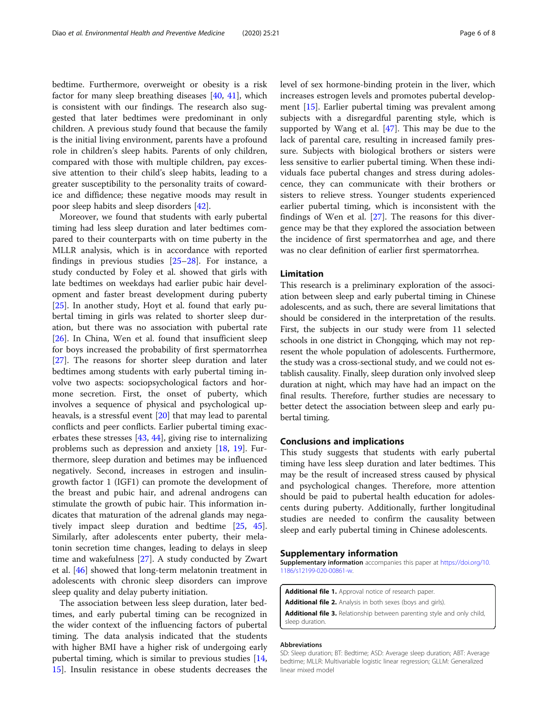bedtime. Furthermore, overweight or obesity is a risk factor for many sleep breathing diseases [\[40](#page-7-0), [41](#page-7-0)], which is consistent with our findings. The research also suggested that later bedtimes were predominant in only children. A previous study found that because the family is the initial living environment, parents have a profound role in children's sleep habits. Parents of only children, compared with those with multiple children, pay excessive attention to their child's sleep habits, leading to a greater susceptibility to the personality traits of cowardice and diffidence; these negative moods may result in poor sleep habits and sleep disorders [\[42\]](#page-7-0).

Moreover, we found that students with early pubertal timing had less sleep duration and later bedtimes compared to their counterparts with on time puberty in the MLLR analysis, which is in accordance with reported findings in previous studies [\[25](#page-6-0)–[28\]](#page-6-0). For instance, a study conducted by Foley et al. showed that girls with late bedtimes on weekdays had earlier pubic hair development and faster breast development during puberty [[25\]](#page-6-0). In another study, Hoyt et al. found that early pubertal timing in girls was related to shorter sleep duration, but there was no association with pubertal rate [[26\]](#page-6-0). In China, Wen et al. found that insufficient sleep for boys increased the probability of first spermatorrhea [[27\]](#page-6-0). The reasons for shorter sleep duration and later bedtimes among students with early pubertal timing involve two aspects: sociopsychological factors and hormone secretion. First, the onset of puberty, which involves a sequence of physical and psychological upheavals, is a stressful event [[20\]](#page-6-0) that may lead to parental conflicts and peer conflicts. Earlier pubertal timing exacerbates these stresses [[43,](#page-7-0) [44\]](#page-7-0), giving rise to internalizing problems such as depression and anxiety [\[18](#page-6-0), [19](#page-6-0)]. Furthermore, sleep duration and betimes may be influenced negatively. Second, increases in estrogen and insulingrowth factor 1 (IGF1) can promote the development of the breast and pubic hair, and adrenal androgens can stimulate the growth of pubic hair. This information indicates that maturation of the adrenal glands may negatively impact sleep duration and bedtime [\[25](#page-6-0), [45](#page-7-0)]. Similarly, after adolescents enter puberty, their melatonin secretion time changes, leading to delays in sleep time and wakefulness [[27](#page-6-0)]. A study conducted by Zwart et al. [[46](#page-7-0)] showed that long-term melatonin treatment in adolescents with chronic sleep disorders can improve sleep quality and delay puberty initiation.

The association between less sleep duration, later bedtimes, and early pubertal timing can be recognized in the wider context of the influencing factors of pubertal timing. The data analysis indicated that the students with higher BMI have a higher risk of undergoing early pubertal timing, which is similar to previous studies [[14](#page-6-0), [15\]](#page-6-0). Insulin resistance in obese students decreases the level of sex hormone-binding protein in the liver, which increases estrogen levels and promotes pubertal development [[15\]](#page-6-0). Earlier pubertal timing was prevalent among subjects with a disregardful parenting style, which is supported by Wang et al. [\[47\]](#page-7-0). This may be due to the lack of parental care, resulting in increased family pressure. Subjects with biological brothers or sisters were less sensitive to earlier pubertal timing. When these individuals face pubertal changes and stress during adolescence, they can communicate with their brothers or sisters to relieve stress. Younger students experienced earlier pubertal timing, which is inconsistent with the findings of Wen et al. [\[27](#page-6-0)]. The reasons for this divergence may be that they explored the association between the incidence of first spermatorrhea and age, and there was no clear definition of earlier first spermatorrhea.

# Limitation

This research is a preliminary exploration of the association between sleep and early pubertal timing in Chinese adolescents, and as such, there are several limitations that should be considered in the interpretation of the results. First, the subjects in our study were from 11 selected schools in one district in Chongqing, which may not represent the whole population of adolescents. Furthermore, the study was a cross-sectional study, and we could not establish causality. Finally, sleep duration only involved sleep duration at night, which may have had an impact on the final results. Therefore, further studies are necessary to better detect the association between sleep and early pubertal timing.

# Conclusions and implications

This study suggests that students with early pubertal timing have less sleep duration and later bedtimes. This may be the result of increased stress caused by physical and psychological changes. Therefore, more attention should be paid to pubertal health education for adolescents during puberty. Additionally, further longitudinal studies are needed to confirm the causality between sleep and early pubertal timing in Chinese adolescents.

#### Supplementary information

Supplementary information accompanies this paper at [https://doi.org/10.](https://doi.org/10.1186/s12199-020-00861-w) [1186/s12199-020-00861-w](https://doi.org/10.1186/s12199-020-00861-w).

- Additional file 1. Approval notice of research paper.
- Additional file 2. Analysis in both sexes (boys and girls).

Additional file 3. Relationship between parenting style and only child, sleep duration.

#### Abbreviations

SD: Sleep duration; BT: Bedtime; ASD: Average sleep duration; ABT: Average bedtime; MLLR: Multivariable logistic linear regression; GLLM: Generalized linear mixed model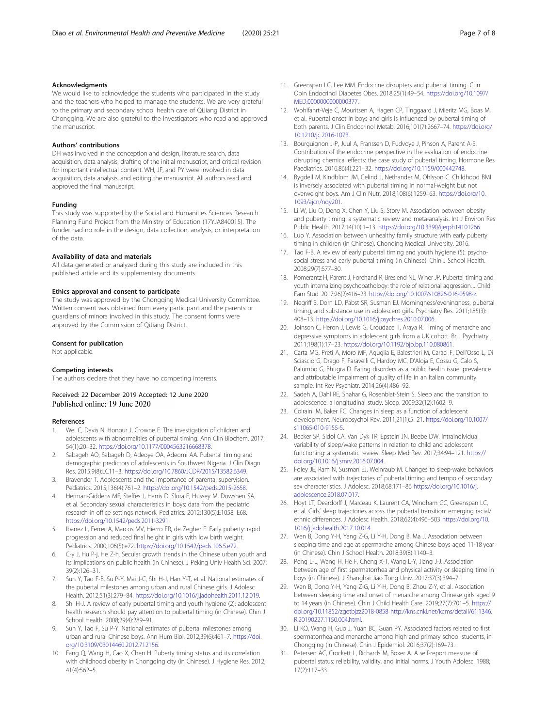# <span id="page-6-0"></span>Acknowledgments

We would like to acknowledge the students who participated in the study and the teachers who helped to manage the students. We are very grateful to the primary and secondary school health care of QiJiang District in Chongqing. We are also grateful to the investigators who read and approved the manuscript.

## Authors' contributions

DH was involved in the conception and design, literature search, data acquisition, data analysis, drafting of the initial manuscript, and critical revision for important intellectual content. WH, JF, and PY were involved in data acquisition, data analysis, and editing the manuscript. All authors read and approved the final manuscript.

#### Funding

This study was supported by the Social and Humanities Sciences Research Planning Fund Project from the Ministry of Education (17YJA840015). The funder had no role in the design, data collection, analysis, or interpretation of the data.

#### Availability of data and materials

All data generated or analyzed during this study are included in this published article and its supplementary documents.

#### Ethics approval and consent to participate

The study was approved by the Chongqing Medical University Committee. Written consent was obtained from every participant and the parents or guardians of minors involved in this study. The consent forms were approved by the Commission of QiJiang District.

#### Consent for publication

Not applicable.

#### Competing interests

The authors declare that they have no competing interests.

# Received: 22 December 2019 Accepted: 12 June 2020 Published online: 19 June 2020

#### References

- 1. Wei C, Davis N, Honour J, Crowne E. The investigation of children and adolescents with abnormalities of pubertal timing. Ann Clin Biochem. 2017; 54(1):20–32. <https://doi.org/10.1177/0004563216668378>.
- Sabageh AO, Sabageh D, Adeoye OA, Adeomi AA. Pubertal timing and demographic predictors of adolescents in Southwest Nigeria. J Clin Diagn Res. 2015;9(8):LC11–3. [https://doi.org/10.7860/JCDR/2015/13582.6349.](https://doi.org/10.7860/JCDR/2015/13582.6349)
- Bravender T. Adolescents and the importance of parental supervision. Pediatrics. 2015;136(4):761–2. <https://doi.org/10.1542/peds.2015-2658>.
- 4. Herman-Giddens ME, Steffes J, Harris D, Slora E, Hussey M, Dowshen SA, et al. Secondary sexual characteristics in boys: data from the pediatric research in office settings network. Pediatrics. 2012;130(5):E1058–E68. <https://doi.org/10.1542/peds.2011-3291>.
- 5. Ibanez L, Ferrer A, Marcos MV, Hierro FR, de Zegher F. Early puberty: rapid progression and reduced final height in girls with low birth weight. Pediatrics. 2000;106(5):e72. <https://doi.org/10.1542/peds.106.5.e72>.
- 6. C-y J, Hu P-j, He Z-h. Secular growth trends in the Chinese urban youth and its implications on public health (in Chinese). J Peking Univ Health Sci. 2007; 39(2):126–31.
- 7. Sun Y, Tao F-B, Su P-Y, Mai J-C, Shi H-J, Han Y-T, et al. National estimates of the pubertal milestones among urban and rural Chinese girls. J Adolesc Health. 2012;51(3):279–84. [https://doi.org/10.1016/j.jadohealth.2011.12.019.](https://doi.org/10.1016/j.jadohealth.2011.12.019)
- 8. Shi H-J. A review of early pubertal timing and youth hygiene (2): adolescent health research should pay attention to pubertal timing (in Chinese). Chin J School Health. 2008;29(4):289–91.
- Sun Y, Tao F, Su P-Y. National estimates of pubertal milestones among urban and rural Chinese boys. Ann Hum Biol. 2012;39(6):461–7. [https://doi.](https://doi.org/10.3109/03014460.2012.712156) [org/10.3109/03014460.2012.712156.](https://doi.org/10.3109/03014460.2012.712156)
- 10. Fang Q, Wang H, Cao X, Chen H. Puberty timing status and its correlation with childhood obesity in Chongqing city (in Chinese). J Hygiene Res. 2012; 41(4):562–5.
- 11. Greenspan LC, Lee MM. Endocrine disrupters and pubertal timing. Curr Opin Endocrinol Diabetes Obes. 2018;25(1):49–54. [https://doi.org/10.1097/](https://doi.org/10.1097/MED.0000000000000377) [MED.0000000000000377.](https://doi.org/10.1097/MED.0000000000000377)
- 12. Wohlfahrt-Veje C, Mouritsen A, Hagen CP, Tinggaard J, Mieritz MG, Boas M, et al. Pubertal onset in boys and girls is influenced by pubertal timing of both parents. J Clin Endocrinol Metab. 2016;101(7):2667–74. [https://doi.org/](https://doi.org/10.1210/jc.2016-1073) [10.1210/jc.2016-1073.](https://doi.org/10.1210/jc.2016-1073)
- 13. Bourguignon J-P, Juul A, Franssen D, Fudvoye J, Pinson A, Parent A-S. Contribution of the endocrine perspective in the evaluation of endocrine disrupting chemical effects: the case study of pubertal timing. Hormone Res Paediatrics. 2016;86(4):221–32. <https://doi.org/10.1159/000442748>.
- 14. Bygdell M, Kindblom JM, Celind J, Nethander M, Ohlsson C. Childhood BMI is inversely associated with pubertal timing in normal-weight but not overweight boys. Am J Clin Nutr. 2018;108(6):1259–63. [https://doi.org/10.](https://doi.org/10.1093/ajcn/nqy201) [1093/ajcn/nqy201.](https://doi.org/10.1093/ajcn/nqy201)
- 15. Li W, Liu Q, Deng X, Chen Y, Liu S, Story M. Association between obesity and puberty timing: a systematic review and meta-analysis. Int J Environ Res Public Health. 2017;14(10):1–13. [https://doi.org/10.3390/ijerph14101266.](https://doi.org/10.3390/ijerph14101266)
- 16. Luo Y. Association between unhealthy family structure with early puberty timing in children (in Chinese). Chonqing Medical University. 2016.
- 17. Tao F-B. A review of early pubertal timing and youth hygiene (5): psychosocial stress and early pubertal timing (in Chinese). Chin J School Health. 2008;29(7):577–80.
- 18. Pomerantz H, Parent J, Forehand R, Breslend NL, Winer JP. Pubertal timing and youth internalizing psychopathology: the role of relational aggression. J Child Fam Stud. 2017;26(2):416–23. <https://doi.org/10.1007/s10826-016-0598-z>.
- 19. Negriff S, Dorn LD, Pabst SR, Susman EJ. Morningness/eveningness, pubertal timing, and substance use in adolescent girls. Psychiatry Res. 2011;185(3): 408–13. <https://doi.org/10.1016/j.psychres.2010.07.006>.
- 20. Joinson C, Heron J, Lewis G, Croudace T, Araya R. Timing of menarche and depressive symptoms in adolescent girls from a UK cohort. Br J Psychiatry. 2011;198(1):17–23. <https://doi.org/10.1192/bjp.bp.110.080861>.
- 21. Carta MG, Preti A, Moro MF, Aguglia E, Balestrieri M, Caraci F, Dell'Osso L, Di Sciascio G, Drago F, Faravelli C, Hardoy MC, D'Aloja E, Cossu G, Calo S, Palumbo G, Bhugra D. Eating disorders as a public health issue: prevalence and attributable impairment of quality of life in an Italian community sample. Int Rev Psychiatr. 2014;26(4):486–92.
- 22. Sadeh A, Dahl RE, Shahar G, Rosenblat-Stein S. Sleep and the transition to adolescence: a longitudinal study. Sleep. 2009;32(12):1602–9.
- 23. Colrain IM, Baker FC. Changes in sleep as a function of adolescent development. Neuropsychol Rev. 2011;21(1):5–21. [https://doi.org/10.1007/](https://doi.org/10.1007/s11065-010-9155-5) [s11065-010-9155-5.](https://doi.org/10.1007/s11065-010-9155-5)
- 24. Becker SP, Sidol CA, Van Dyk TR, Epstein JN, Beebe DW. Intraindividual variability of sleep/wake patterns in relation to child and adolescent functioning: a systematic review. Sleep Med Rev. 2017;34:94–121. [https://](https://doi.org/10.1016/j.smrv.2016.07.004) [doi.org/10.1016/j.smrv.2016.07.004.](https://doi.org/10.1016/j.smrv.2016.07.004)
- 25. Foley JE, Ram N, Susman EJ, Weinraub M. Changes to sleep-wake behaviors are associated with trajectories of pubertal timing and tempo of secondary sex characteristics. J Adolesc. 2018;68:171–86 [https://doi.org/10.1016/j.](https://doi.org/10.1016/j.adolescence.2018.07.017) [adolescence.2018.07.017](https://doi.org/10.1016/j.adolescence.2018.07.017).
- 26. Hoyt LT, Deardorff J, Marceau K, Laurent CA, Windham GC, Greenspan LC, et al. Girls' sleep trajectories across the pubertal transition: emerging racial/ ethnic differences. J Adolesc Health. 2018;62(4):496–503 [https://doi.org/10.](https://doi.org/10.1016/j.jadohealth.2017.10.014) [1016/j.jadohealth.2017.10.014.](https://doi.org/10.1016/j.jadohealth.2017.10.014)
- 27. Wen B, Dong Y-H, Yang Z-G, Li Y-H, Dong B, Ma J. Association between sleeping time and age at spermarche among Chinese boys aged 11-18 year (in Chinese). Chin J School Health. 2018;39(8):1140–3.
- 28. Peng L-L, Wang H, He F, Cheng X-T, Wang L-Y, Jiang J-J. Association between age of first spermatorrhea and physical activity or sleeping time in boys (in Chinese). J Shanghai Jiao Tong Univ. 2017;37(3):394–7.
- 29. Wen B, Dong Y-H, Yang Z-G, Li Y-H, Dong B, Zhou Z-Y, et al. Association between sleeping time and onset of menarche among Chinese girls aged 9 to 14 years (in Chinese). Chin J Child Health Care. 2019;27(7):701–5. [https://](https://doi.org/10.11852/zgetbjzz2018-0858) [doi.org/10.11852/zgetbjzz2018-0858](https://doi.org/10.11852/zgetbjzz2018-0858) [http://kns.cnki.net/kcms/detail/61.1346.](http://kns.cnki.net/kcms/detail/61.1346.R.20190227.1150.004.html) [R.20190227.1150.004.html](http://kns.cnki.net/kcms/detail/61.1346.R.20190227.1150.004.html).
- 30. Li KQ, Wang H, Guo J, Yuan BC, Guan PY. Associated factors related to first spermatorrhea and menarche among high and primary school students, in Chongqing (in Chinese). Chin J Epidemiol. 2016;37(2):169–73.
- 31. Petersen AC, Crockett L, Richards M, Boxer A. A self-report measure of pubertal status: reliability, validity, and initial norms. J Youth Adolesc. 1988; 17(2):117–33.